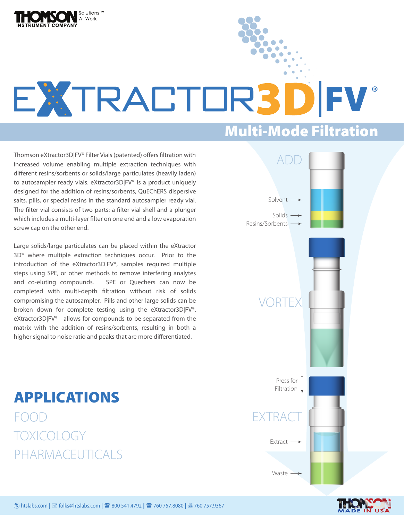

## EXTRACTOR3D FV ®

## Multi-Mode Filtration

Thomson eXtractor3D|FV® Filter Vials (patented) offers filtration with increased volume enabling multiple extraction techniques with different resins/sorbents or solids/large particulates (heavily laden) to autosampler ready vials. eXtractor3D|FV® is a product uniquely designed for the addition of resins/sorbents, QuEChERS dispersive salts, pills, or special resins in the standard autosampler ready vial. The filter vial consists of two parts: a filter vial shell and a plunger which includes a multi-layer filter on one end and a low evaporation screw cap on the other end.

Large solids/large particulates can be placed within the eXtractor 3D® where multiple extraction techniques occur. Prior to the introduction of the eXtractor3D|FV®, samples required multiple steps using SPE, or other methods to remove interfering analytes and co-eluting compounds. SPE or Quechers can now be completed with multi-depth filtration without risk of solids compromising the autosampler. Pills and other large solids can be broken down for complete testing using the eXtractor3D|FV®. eXtractor3D|FV<sup>®</sup> allows for compounds to be separated from the matrix with the addition of resins/sorbents, resulting in both a higher signal to noise ratio and peaks that are more differentiated.

APPLICATIONS FOOD TOXICOLOGY PHARMACEUTICALS